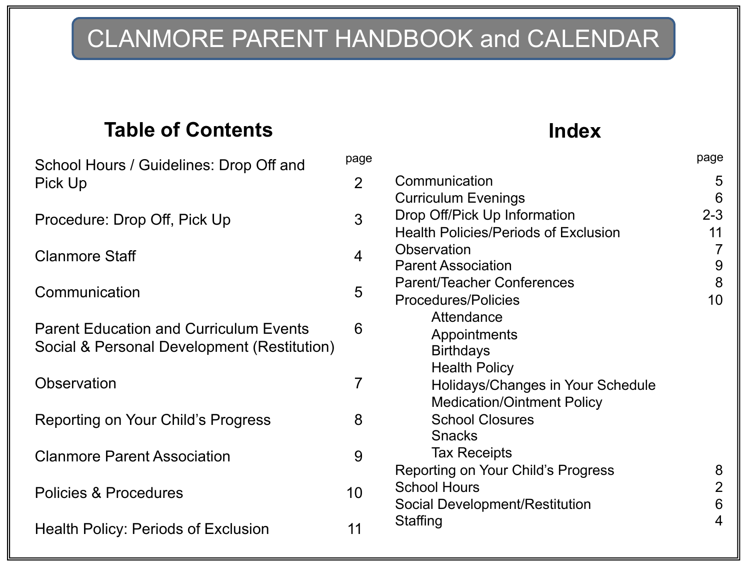# CLANMORE PARENT HANDBOOK and CALENDAR

## **Table of Contents Index**

| School Hours / Guidelines: Drop Off and                                                      |                |
|----------------------------------------------------------------------------------------------|----------------|
| Pick Up                                                                                      | $\overline{2}$ |
| Procedure: Drop Off, Pick Up                                                                 | 3              |
| <b>Clanmore Staff</b>                                                                        | 4              |
| Communication                                                                                | 5              |
| <b>Parent Education and Curriculum Events</b><br>Social & Personal Development (Restitution) | 6              |
| Observation                                                                                  | 7              |
| Reporting on Your Child's Progress                                                           | 8              |
| <b>Clanmore Parent Association</b>                                                           | 9              |
| <b>Policies &amp; Procedures</b>                                                             | 10             |
| <b>Health Policy: Periods of Exclusion</b>                                                   | 11             |

page

| Communication<br><b>Curriculum Evenings</b><br>Drop Off/Pick Up Information | 5<br>6<br>$2 - 3$ |
|-----------------------------------------------------------------------------|-------------------|
| <b>Health Policies/Periods of Exclusion</b>                                 | 11                |
| Observation                                                                 | 7                 |
| <b>Parent Association</b>                                                   | 9                 |
| <b>Parent/Teacher Conferences</b>                                           | 8                 |
| <b>Procedures/Policies</b>                                                  | 10                |
| Attendance                                                                  |                   |
| Appointments                                                                |                   |
| <b>Birthdays</b>                                                            |                   |
| <b>Health Policy</b>                                                        |                   |
| Holidays/Changes in Your Schedule                                           |                   |
| <b>Medication/Ointment Policy</b>                                           |                   |
| <b>School Closures</b>                                                      |                   |
| <b>Snacks</b>                                                               |                   |
| <b>Tax Receipts</b>                                                         |                   |
| Reporting on Your Child's Progress                                          | 8                 |
| <b>School Hours</b>                                                         | 2                 |
| Social Development/Restitution                                              | 6                 |
| Staffing                                                                    | 4                 |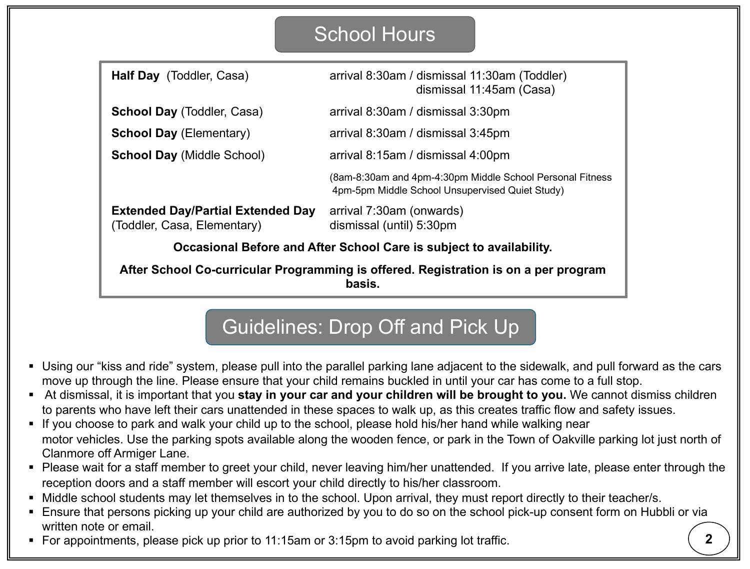## School Hours

| Half Day (Toddler, Casa)                                                                      | arrival 8:30am / dismissal 11:30am (Toddler)<br>dismissal 11:45am (Casa)                                     |  |
|-----------------------------------------------------------------------------------------------|--------------------------------------------------------------------------------------------------------------|--|
| <b>School Day (Toddler, Casa)</b>                                                             | arrival 8:30am / dismissal 3:30pm                                                                            |  |
| <b>School Day (Elementary)</b>                                                                | arrival 8:30am / dismissal 3:45pm                                                                            |  |
| <b>School Day (Middle School)</b>                                                             | arrival 8:15am / dismissal 4:00pm                                                                            |  |
|                                                                                               | (8am-8:30am and 4pm-4:30pm Middle School Personal Fitness<br>4pm-5pm Middle School Unsupervised Quiet Study) |  |
| <b>Extended Day/Partial Extended Day</b><br>(Toddler, Casa, Elementary)                       | arrival 7:30am (onwards)<br>dismissal (until) 5:30pm                                                         |  |
| Occasional Before and After School Care is subject to availability.                           |                                                                                                              |  |
| After School Co-curricular Programming is offered. Registration is on a per program<br>basis. |                                                                                                              |  |

## Guidelines: Drop Off and Pick Up

- Using our "kiss and ride" system, please pull into the parallel parking lane adjacent to the sidewalk, and pull forward as the cars move up through the line. Please ensure that your child remains buckled in until your car has come to a full stop.
- § At dismissal, it is important that you **stay in your car and your children will be brought to you.** We cannot dismiss children to parents who have left their cars unattended in these spaces to walk up, as this creates traffic flow and safety issues.
- If you choose to park and walk your child up to the school, please hold his/her hand while walking near motor vehicles. Use the parking spots available along the wooden fence, or park in the Town of Oakville parking lot just north of Clanmore off Armiger Lane.
- Please wait for a staff member to greet your child, never leaving him/her unattended. If you arrive late, please enter through the reception doors and a staff member will escort your child directly to his/her classroom.
- Middle school students may let themselves in to the school. Upon arrival, they must report directly to their teacher/s.
- Ensure that persons picking up your child are authorized by you to do so on the school pick-up consent form on Hubbli or via written note or email.
- For appointments, please pick up prior to 11:15am or 3:15pm to avoid parking lot traffic.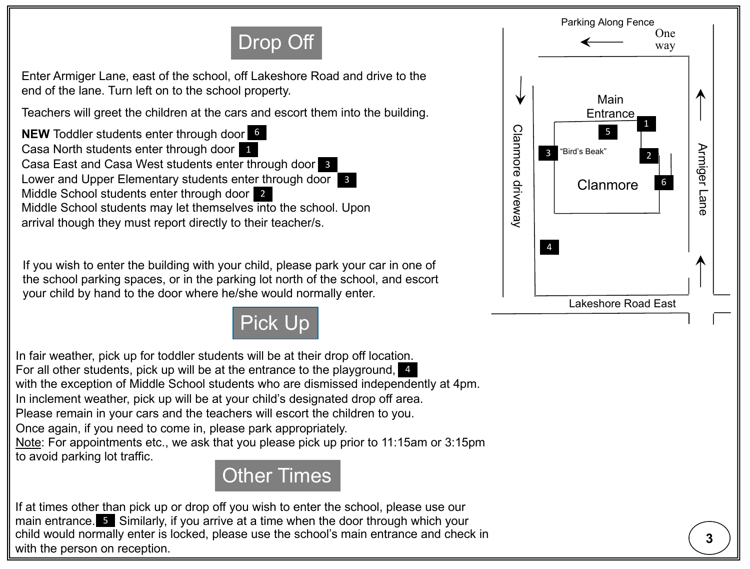# Drop Off

Enter Armiger Lane, east of the school, off Lakeshore Road and drive to the end of the lane. Turn left on to the school property.

Teachers will greet the children at the cars and escort them into the building.

**NEW** Toddler students enter through door 6 Casa North students enter through door Casa East and Casa West students enter through door **3** Lower and Upper Elementary students enter through door s Middle School students enter through door 2 Middle School students may let themselves into the school. Upon arrival though they must report directly to their teacher/s.

If you wish to enter the building with your child, please park your car in one of the school parking spaces, or in the parking lot north of the school, and escort your child by hand to the door where he/she would normally enter.



In fair weather, pick up for toddler students will be at their drop off location. For all other students, pick up will be at the entrance to the playground, 4 with the exception of Middle School students who are dismissed independently at 4pm. In inclement weather, pick up will be at your child's designated drop off area. Please remain in your cars and the teachers will escort the children to you. Once again, if you need to come in, please park appropriately. Note: For appointments etc., we ask that you please pick up prior to 11:15am or 3:15pm to avoid parking lot traffic.



If at times other than pick up or drop off you wish to enter the school, please use our main entrance.  $\overline{5}$  Similarly, if you arrive at a time when the door through which your child would normally enter is locked, please use the school's main entrance and check in with the person on reception.

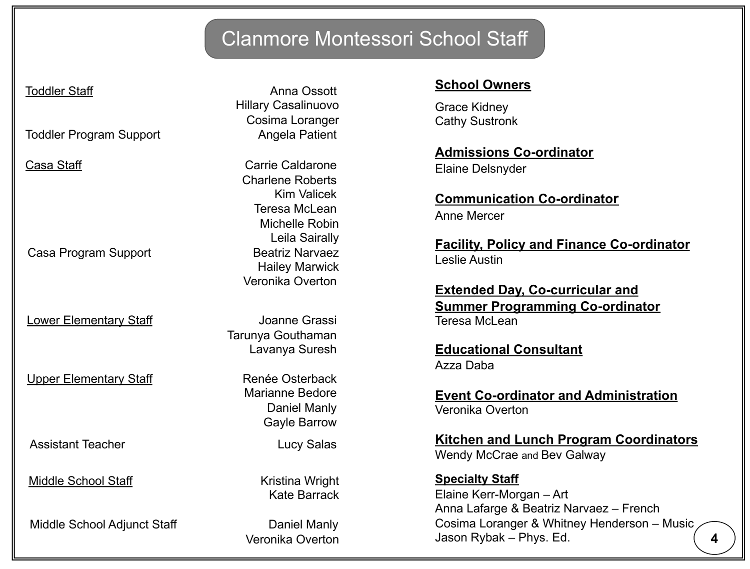## Clanmore Montessori School Staff

Toddler Program Support Angela Patient

Casa Program Support Beatriz Narvaez

Lower Elementary Staff **Communist Communist Communist Communist Communist Communist Communist Communist Communist Communist Communist Communist Communist Communist Communist Communist Communist Communist Communist Communis** 

Upper Elementary Staff Renée Osterback

Assistant Teacher **Lucy Salas** 

Middle School Staff Kristina Wright

Middle School Adjunct Staff Daniel Manly

Toddler Staff Anna Ossott Hillary Casalinuovo Cosima Loranger

Casa Staff Casa Carrie Caldarone Charlene Roberts Kim Valicek Teresa McLean Michelle Robin Leila Sairally Hailey Marwick Veronika Overton

> Tarunya Gouthaman Lavanya Suresh

> > Marianne Bedore Daniel Manly Gayle Barrow

Kate Barrack

#### **School Owners**

Grace Kidney Cathy Sustronk

**Admissions Co-ordinator** Elaine Delsnyder

**Communication Co-ordinator** Anne Mercer

**Facility, Policy and Finance Co-ordinator** Leslie Austin

**Extended Day, Co-curricular and Summer Programming Co-ordinator** Teresa McLean

**Educational Consultant** Azza Daba

**Event Co-ordinator and Administration** Veronika Overton

**Kitchen and Lunch Program Coordinators** Wendy McCrae and Bev Galway

**Specialty Staff** Elaine Kerr-Morgan – Art Anna Lafarge & Beatriz Narvaez – French Cosima Loranger & Whitney Henderson – Music Jason Rybak – Phys. Ed. Veronika Overton **4**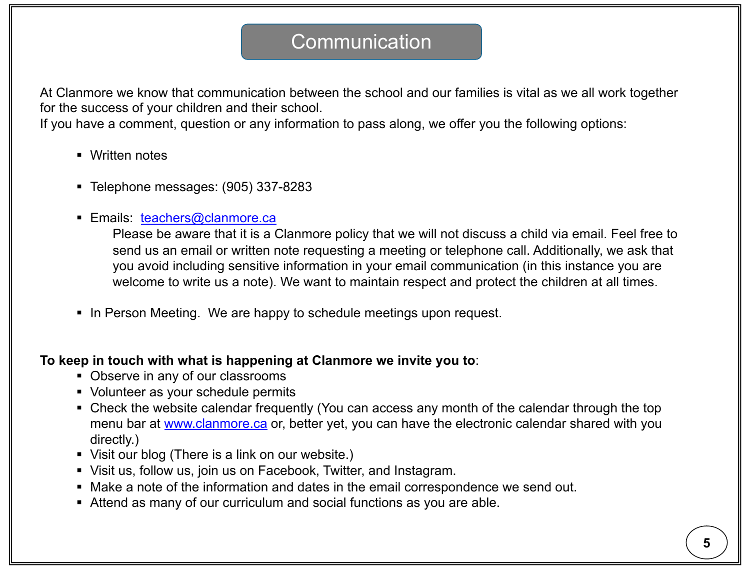## **Communication**

At Clanmore we know that communication between the school and our families is vital as we all work together for the success of your children and their school.

If you have a comment, question or any information to pass along, we offer you the following options:

- Written notes
- § Telephone messages: (905) 337-8283
- Emails: [teachers@clanmore.ca](mailto:teachers@clanmore.ca)

Please be aware that it is a Clanmore policy that we will not discuss a child via email. Feel free to send us an email or written note requesting a meeting or telephone call. Additionally, we ask that you avoid including sensitive information in your email communication (in this instance you are welcome to write us a note). We want to maintain respect and protect the children at all times.

■ In Person Meeting. We are happy to schedule meetings upon request.

#### **To keep in touch with what is happening at Clanmore we invite you to**:

- Observe in any of our classrooms
- § Volunteer as your schedule permits
- Check the website calendar frequently (You can access any month of the calendar through the top menu bar at [www.clanmore.ca](http://www.clanmore.ca) or, better yet, you can have the electronic calendar shared with you directly.)
- Visit our blog (There is a link on our website.)
- Visit us, follow us, join us on Facebook, Twitter, and Instagram.
- Make a note of the information and dates in the email correspondence we send out.
- Attend as many of our curriculum and social functions as you are able.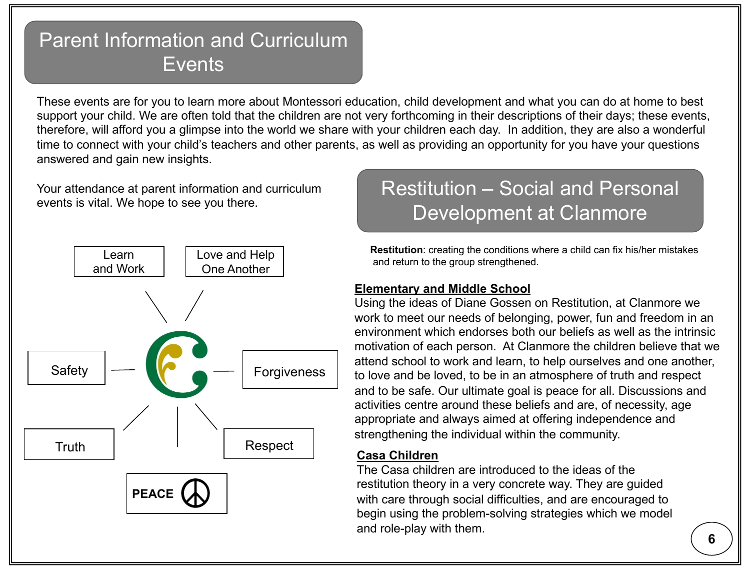## Parent Information and Curriculum **Events**

These events are for you to learn more about Montessori education, child development and what you can do at home to best support your child. We are often told that the children are not very forthcoming in their descriptions of their days; these events, therefore, will afford you a glimpse into the world we share with your children each day. In addition, they are also a wonderful time to connect with your child's teachers and other parents, as well as providing an opportunity for you have your questions answered and gain new insights.

Your attendance at parent information and curriculum events is vital. We hope to see you there.



## Restitution – Social and Personal Development at Clanmore

**Restitution**: creating the conditions where a child can fix his/her mistakes and return to the group strengthened.

#### **Elementary and Middle School**

Using the ideas of Diane Gossen on Restitution, at Clanmore we work to meet our needs of belonging, power, fun and freedom in an environment which endorses both our beliefs as well as the intrinsic motivation of each person. At Clanmore the children believe that we attend school to work and learn, to help ourselves and one another, to love and be loved, to be in an atmosphere of truth and respect and to be safe. Our ultimate goal is peace for all. Discussions and activities centre around these beliefs and are, of necessity, age appropriate and always aimed at offering independence and strengthening the individual within the community.

#### **Casa Children**

The Casa children are introduced to the ideas of the restitution theory in a very concrete way. They are guided with care through social difficulties, and are encouraged to begin using the problem-solving strategies which we model and role-play with them.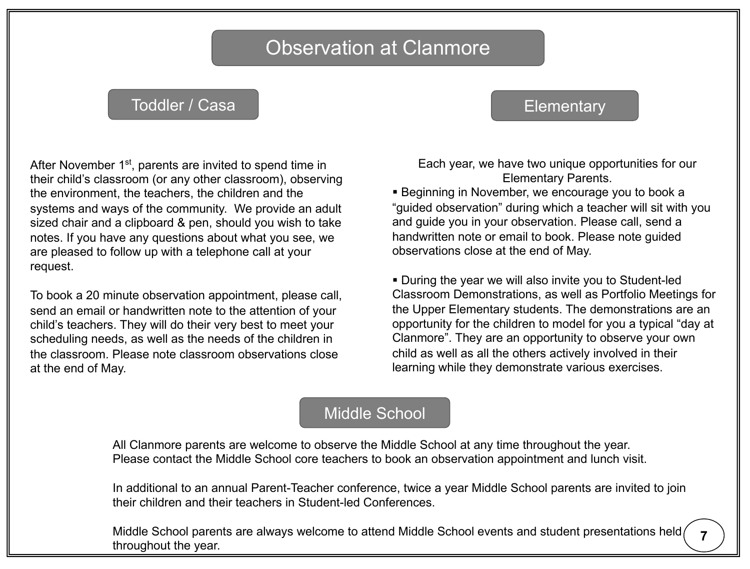## Observation at Clanmore

#### Toddler / Casa New York 1999 Elementary

After November 1<sup>st</sup>, parents are invited to spend time in their child's classroom (or any other classroom), observing the environment, the teachers, the children and the systems and ways of the community. We provide an adult sized chair and a clipboard & pen, should you wish to take notes. If you have any questions about what you see, we are pleased to follow up with a telephone call at your request.

To book a 20 minute observation appointment, please call, send an email or handwritten note to the attention of your child's teachers. They will do their very best to meet your scheduling needs, as well as the needs of the children in the classroom. Please note classroom observations close at the end of May.

Each year, we have two unique opportunities for our Elementary Parents.

**• Beginning in November, we encourage you to book a** "guided observation" during which a teacher will sit with you and guide you in your observation. Please call, send a handwritten note or email to book. Please note guided observations close at the end of May.

§ During the year we will also invite you to Student-led Classroom Demonstrations, as well as Portfolio Meetings for the Upper Elementary students. The demonstrations are an opportunity for the children to model for you a typical "day at Clanmore". They are an opportunity to observe your own child as well as all the others actively involved in their learning while they demonstrate various exercises.

#### Middle School

All Clanmore parents are welcome to observe the Middle School at any time throughout the year. Please contact the Middle School core teachers to book an observation appointment and lunch visit.

In additional to an annual Parent-Teacher conference, twice a year Middle School parents are invited to join their children and their teachers in Student-led Conferences.

Middle School parents are always welcome to attend Middle School events and student presentations held ( throughout the year.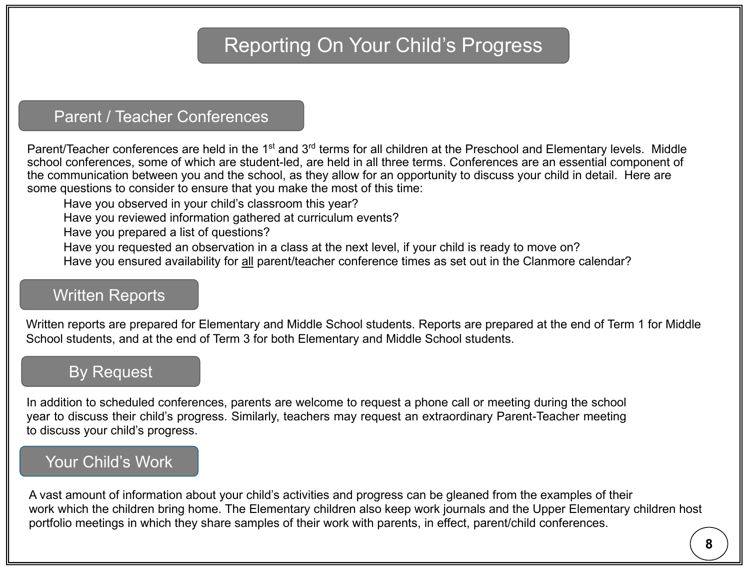## Reporting On Your Child's Progress

### Parent / Teacher Conferences

Parent/Teacher conferences are held in the 1<sup>st</sup> and 3<sup>rd</sup> terms for all children at the Preschool and Elementary levels. Middle school conferences, some of which are student-led, are held in all three terms. Conferences are an essential component of the communication between you and the school, as they allow for an opportunity to discuss your child in detail. Here are some questions to consider to ensure that you make the most of this time:

Have you observed in your child's classroom this year?

Have you reviewed information gathered at curriculum events?

Have you prepared a list of questions?

Have you requested an observation in a class at the next level, if your child is ready to move on?

Have you ensured availability for all parent/teacher conference times as set out in the Clanmore calendar?

### Written Reports

Written reports are prepared for Elementary and Middle School students. Reports are prepared at the end of Term 1 for Middle School students, and at the end of Term 3 for both Elementary and Middle School students.

### By Request

In addition to scheduled conferences, parents are welcome to request a phone call or meeting during the school year to discuss their child's progress. Similarly, teachers may request an extraordinary Parent-Teacher meeting to discuss your child's progress.

### Your Child's Work

A vast amount of information about your child's activities and progress can be gleaned from the examples of their work which the children bring home. The Elementary children also keep work journals and the Upper Elementary children host portfolio meetings in which they share samples of their work with parents, in effect, parent/child conferences.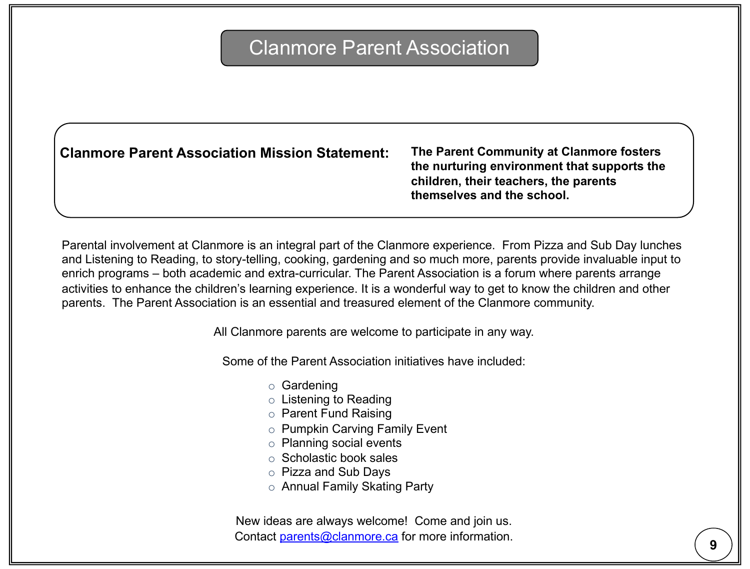## Clanmore Parent Association

**Clanmore Parent Association Mission Statement:**

**The Parent Community at Clanmore fosters the nurturing environment that supports the children, their teachers, the parents themselves and the school.**

Parental involvement at Clanmore is an integral part of the Clanmore experience. From Pizza and Sub Day lunches and Listening to Reading, to story-telling, cooking, gardening and so much more, parents provide invaluable input to enrich programs – both academic and extra-curricular. The Parent Association is a forum where parents arrange activities to enhance the children's learning experience. It is a wonderful way to get to know the children and other parents. The Parent Association is an essential and treasured element of the Clanmore community.

All Clanmore parents are welcome to participate in any way.

Some of the Parent Association initiatives have included:

- o Gardening
- o Listening to Reading
- o Parent Fund Raising
- o Pumpkin Carving Family Event
- o Planning social events
- o Scholastic book sales
- o Pizza and Sub Days
- o Annual Family Skating Party

New ideas are always welcome! Come and join us. Contact [parents@clanmore.ca](mailto:parents@clanmore.ca) for more information.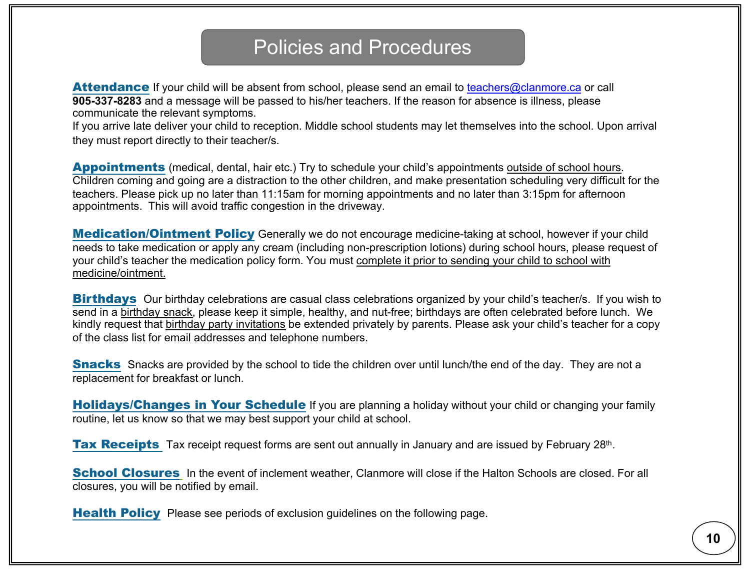## Policies and Procedures

**Attendance** If your child will be absent from school, please send an email to [teachers@clanmore.ca](mailto:teachers@clanmore.ca) or call **905-337-8283** and a message will be passed to his/her teachers. If the reason for absence is illness, please communicate the relevant symptoms.

If you arrive late deliver your child to reception. Middle school students may let themselves into the school. Upon arrival they must report directly to their teacher/s.

**Appointments** (medical, dental, hair etc.) Try to schedule your child's appointments outside of school hours. Children coming and going are a distraction to the other children, and make presentation scheduling very difficult for the teachers. Please pick up no later than 11:15am for morning appointments and no later than 3:15pm for afternoon appointments. This will avoid traffic congestion in the driveway.

**Medication/Ointment Policy** Generally we do not encourage medicine-taking at school, however if your child needs to take medication or apply any cream (including non-prescription lotions) during school hours, please request of your child's teacher the medication policy form. You must complete it prior to sending your child to school with medicine/ointment.

**Birthdays** Our birthday celebrations are casual class celebrations organized by your child's teacher/s. If you wish to send in a birthday snack, please keep it simple, healthy, and nut-free; birthdays are often celebrated before lunch. We kindly request that birthday party invitations be extended privately by parents. Please ask your child's teacher for a copy of the class list for email addresses and telephone numbers.

**Snacks** Snacks are provided by the school to tide the children over until lunch/the end of the day. They are not a replacement for breakfast or lunch.

**Holidays/Changes in Your Schedule** If you are planning a holiday without your child or changing your family routine, let us know so that we may best support your child at school.

**Tax Receipts** Tax receipt request forms are sent out annually in January and are issued by February 28th.

**School Closures** In the event of inclement weather, Clanmore will close if the Halton Schools are closed. For all closures, you will be notified by email.

**Health Policy** Please see periods of exclusion guidelines on the following page.